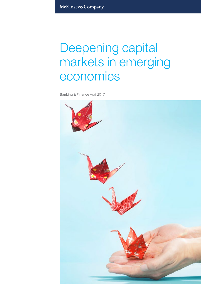McKinsey&Company

# Deepening capital markets in emerging economies

Banking & Finance April 2017

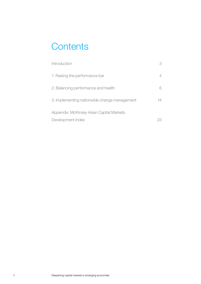# **Contents**

| Introduction                                 |    |
|----------------------------------------------|----|
| 1. Raising the performance bar               |    |
| 2. Balancing performance and health          |    |
| 3. Implementing nationwide change management | 14 |
| Appendix: McKinsey Asian Capital Markets     |    |
| Development Index                            |    |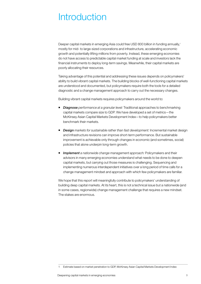# <span id="page-2-0"></span>**Introduction**

Deeper capital markets in emerging Asia could free USD 800 billion in funding annually,<sup>1</sup> mostly for mid- to large-sized corporations and infrastructure, accelerating economic growth and potentially lifting millions from poverty. Instead, these emerging economies do not have access to predictable capital market funding at scale and investors lack the financial instruments to deploy long-term savings. Meanwhile, their capital markets are poorly allocating their resources.

Taking advantage of this potential and addressing these issues depends on policymakers' ability to build vibrant capital markets. The building blocks of well-functioning capital markets are understood and documented, but policymakers require both the tools for a detailed diagnostic and a change management approach to carry out the necessary changes.

Building vibrant capital markets requires policymakers around the world to:

- *Diagnose performance at a granular level:* Traditional approaches to benchmarking capital markets compare size to GDP. We have developed a set of metrics—the McKinsey Asian Capital Markets Development Index—to help policymakers better benchmark their markets.
- *Design markets for sustainable rather than fast development: Incremental market design* and infrastructure revisions can improve short-term performance. But sustainable improvement is achievable only through changes in economic (and sometimes, social) policies that alone underpin long-term growth.
- **Implement** a nationwide change management approach: Policymakers and their advisors in many emerging economies understand what needs to be done to deepen capital markets, but carrying out those measures is challenging. Sequencing and implementing numerous interdependent initiatives over a long period of time calls for a change management mindset and approach with which few policymakers are familiar.

We hope that this report will meaningfully contribute to policymakers' understanding of building deep capital markets. At its heart, this is not a technical issue but a nationwide (and in some cases, regionwide) change management challenge that requires a new mindset. The stakes are enormous.

<sup>1</sup> Estimate based on market penetration to GDP, McKinsey Asian Capital Markets Development Index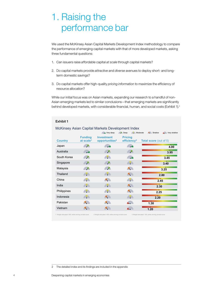# <span id="page-3-0"></span>1. Raising the performance bar

We used the McKinsey Asian Capital Markets Development Index methodology to compare the performance of emerging capital markets with that of more developed markets, asking three fundamental questions:

1. Can issuers raise *affordable* capital *at scale* through capital markets?

McKinsey Asian Capital Markets Development Index

- 2. Do capital markets provide *attractive* and *diverse* avenues to deploy short- and longterm domestic savings?
- 3. Do capital markets offer high-quality *pricing information* to maximize the efficiency of resource allocation?

While our initial focus was on Asian markets, expanding our research to a handful of non-Asian emerging markets led to similar conclusions—that emerging markets are significantly behind developed markets, with considerable financial, human, and social costs (Exhibit 1).<sup>2</sup>

|                |                                         | Very deep                                       | $\blacktriangleright$ Deep<br>Moderate    | Shallow<br>Very shallow       |
|----------------|-----------------------------------------|-------------------------------------------------|-------------------------------------------|-------------------------------|
| <b>Country</b> | <b>Funding</b><br>at scale <sup>1</sup> | <b>Investment</b><br>opportunities <sup>2</sup> | <b>Pricing</b><br>efficiency <sup>3</sup> | <b>Total score (out of 5)</b> |
| Japan          | P                                       | فسير                                            | <b>Contract</b>                           | 4.00                          |
| Australia      | <b>Contract</b>                         | <b>SP</b>                                       | <b>PA</b>                                 | 3.95                          |
| South Korea    | <b>SP</b>                               | AP.                                             | <b>Contract</b>                           | 3.45                          |
| Singapore      | <b>P</b>                                | <b>AP</b>                                       | AP.                                       | 3.40                          |
| Malaysia       | <b>SP</b>                               | <b>SP</b>                                       |                                           | 3.25                          |
| Thailand       | AD.                                     | AI D                                            | <b>A</b>                                  | 2.80                          |
| China          | $\sim$                                  |                                                 | <b>AP</b>                                 | 2.45                          |
| India          | AD.                                     | AP.                                             | <b>A</b> P                                | 2.30                          |
| Philippines    | $\sim$ $\sim$                           | <b>AD</b>                                       |                                           | 2.25                          |
| Indonesia      | AD.                                     | <b>A</b>                                        | AP.                                       | 2.20                          |
| Pakistan       |                                         |                                                 | A.                                        | 1.30                          |
| Vietnam        |                                         |                                                 |                                           | 1.20                          |

# Exhibit 1

1 Weight allocated: 50% while arriving at total score 2 Weight allocated: 40% while arriving at total score 3 Weight allocated: 10% while arriving at total score

2 The detailed index and its findings are included in the appendix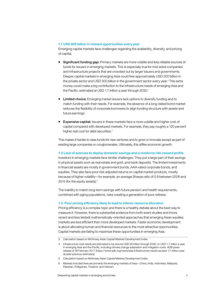#### 1.1 USD 800 billion in missed opportunities every year

Emerging capital markets face challenges regarding the availability, diversity, and pricing of capital.

- **Significant funding gap:** Primary markets are more volatile and less reliable sources of funds for issuers in emerging markets. This is especially true for mid-sized companies and infrastructure projects that are crowded out by larger issuers and governments. Deeper capital markets in emerging Asia could free approximately USD 500 billion in the private sector and USD 300 billion in the government sector every year.<sup>3</sup> This extra money could make a big contribution to the infrastructure needs of emerging Asia and the Pacific, estimated at USD 1.7 trillion a year through 2030.<sup>4</sup>
- Limited choice: Emerging market issuers lack options to diversify funding and to match funding with their needs. For example, the absence of a long-dated bond market reduces the flexibility of corporate borrowers to align funding structure with assets and future earnings.
- **Expensive capital:** Issuers in these markets face a more volatile and higher cost of capital compared with developed markets. For example, they pay roughly a 120 percent higher real cost for debt securities.<sup>5</sup>

This makes it harder to raise funds for new ventures and to grow or innovate except as part of existing large companies or conglomerates. Ultimately, this stifles economic growth.

# 1.2 Lack of avenues to deploy domestic savings and a mediocre risk-reward profile

Investors in emerging markets face similar challenges. They put a large part of their savings in physical assets such as real estate and gold, and bank deposits. The limited investments in financial assets are mostly in government bonds, AAA-rated corporate bonds, and equities. They also face poor risk-adjusted returns on capital market products, mostly because of higher volatility—for example, an average Sharpe ratio of 0.8 between 2008 and 2015 (for the equity assets).<sup>6</sup>

The inability to match long-term savings with future pension and health requirements, combined with aging populations, risks creating a generation of poor retirees.

#### 1.3. Poor pricing efficiency likely to lead to inferior resource allocation

Pricing efficiency is a complex topic and there is a healthy debate about the best way to measure it. However, there is substantial evidence from both event studies and (more recent and less tested) mathematically-oriented approaches that emerging Asian equities markets are less efficient than more developed markets. Faster economic development is about allocating human and financial resources to the most attractive opportunities. Capital markets are failing to maximize these opportunities in emerging Asia.

- 5 Calculation based on McKinsey Asian Capital Markets Development Index
- Markets included here are primarily the emerging markets of Asia—China, India, Indonesia, Malaysia, Pakistan, Philippines, Thailand, and Vietnam

<sup>3</sup> Calculation based on McKinsey Asian Capital Markets Development Index

<sup>4</sup> Infrastructure cost needs are estimated to be around USD 26 trillion through 2030, or USD 1.7 trillion a year, in emerging Asia and the Pacific, including climate change adaptation and mitigation costs. ADB press release of 28 February 2017 (https://www.adb.org/news/asia-infrastructure-needs-exceed-17-trillion-yeardouble-previous-estimates)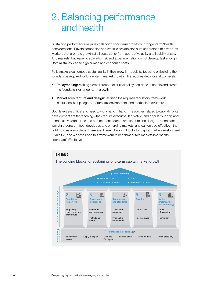# <span id="page-5-0"></span>2. Balancing performance and health

Sustaining performance requires balancing short-term growth with longer-term "health" considerations. Private companies and world-class athletes alike understand this trade-off. Markets that promote growth at all costs suffer from bouts of volatility and liquidity crises. And markets that leave no space for risk and experimentation do not develop fast enough. Both mistakes lead to high human and economic costs.

Policymakers can embed sustainability in their growth models by focusing on building the foundations required for longer-term market growth. This requires decisions at two levels:

- Policymaking: Making a small number of critical policy decisions to enable and create the foundation for longer-term growth
- **Market architecture and design:** Defining the required regulatory framework, institutional setup, legal structure, tax environment, and market infrastructure

Both levels are critical and need to work hand in hand. The policies related to capital market development are far-reaching—they require executive, legislative, and popular support and hence, unavoidable time and commitment. Market architecture and design is a constant work in progress in both developed and emerging markets, and can only be effective if the right policies are in place. There are different building blocks for capital market development (Exhibit 2), and we have used this framework to benchmark two markets in a "health scorecard" (Exhibit 3).

# Exhibit 2

# The building blocks for sustaining long-term capital market growth

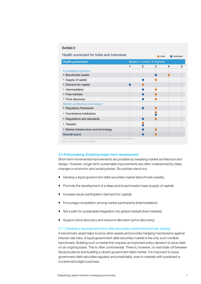|  | Exhibit 3 |  |  |  |
|--|-----------|--|--|--|
|--|-----------|--|--|--|

| Health scorecard for India and Indonesia                                                                          |              | India                       |   | Indonesia |
|-------------------------------------------------------------------------------------------------------------------|--------------|-----------------------------|---|-----------|
| <b>Health parameters</b>                                                                                          |              | Score (1=lowest; 5=highest) |   |           |
|                                                                                                                   | $\mathbf{2}$ | 3                           | 4 | 5         |
| Foundational policies <sup>1</sup>                                                                                |              |                             |   |           |
| Benchmark assets<br>٠                                                                                             |              |                             |   |           |
| Supply of capital<br>٠                                                                                            |              |                             |   |           |
| Demand for capital<br>٠                                                                                           |              |                             |   |           |
| Intermediation                                                                                                    |              |                             |   |           |
| • Free markets                                                                                                    |              |                             |   |           |
| • Price discovery                                                                                                 |              |                             |   |           |
| Market architecture and design <sup>1</sup>                                                                       |              |                             |   |           |
| • Regulatory framework                                                                                            |              |                             |   |           |
| Cornerstone institutions                                                                                          |              |                             |   |           |
| • Regulations and standards                                                                                       |              |                             |   |           |
| Taxation                                                                                                          |              |                             |   |           |
| Market infrastructure and technology<br>٠                                                                         |              |                             |   |           |
| <b>Overall score</b>                                                                                              |              |                             |   |           |
| 1 Both foundational policies and market architecture and design have 50 percent weightage in overall health score |              |                             |   |           |

#### 2.1 Policymaking: Enabling longer-term development

SOURCE: Interviews with capital market participants

Short-term incremental improvements are possible by tweaking market architecture and design. However, longer-term sustainable improvements are often underpinned by deep changes in economic and social policies. Six policies stand out:

- Develop a liquid government debt securities market (benchmark assets).
- Promote the development of a deep and broad investor base (supply of capital).
- Increase issuer participation (demand for capital).
- Encourage competition among market participants (intermediation).
- Set a path for sustainable integration into global markets (free markets).
- Support price discovery and resource allocation (price discovery).

## 2.1.1 Develop a liquid government debt securities market (benchmark assets)

A benchmark asset helps to price other assets and provides hedging mechanisms against interest-rate risks. A liquid government debt securities market is the only such credible benchmark. Building such a market first requires an important policy decision to issue debt on an ongoing basis. This is often controversial. There is, however, no real trade-off between fiscal prudence and building a vibrant government debt market. It is important to issue government debt securities regularly and predictably, even in markets with sustained or occasional budget surpluses.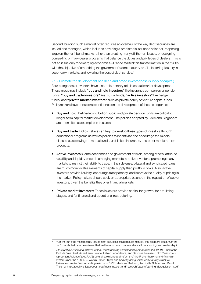Second, building such a market often requires an overhaul of the way debt securities are issued and managed, which includes providing a predictable issuance calendar, reopening large on-the-run<sup>7</sup> benchmarks rather than creating many off-the-run issues, or designing compelling primary dealer programs that balance the duties and privileges of dealers. This is not an issue only for emerging economies—France started this transformation in the 1980s with the objective of smoothing the government's debt maturity profile, fostering liquidity in secondary markets, and lowering the cost of debt service.<sup>8</sup>

2.1.2 Promote the development of a deep and broad investor base (supply of capital)

Four categories of investors have a complementary role in capital market development. These groupings include "buy and hold investors" like insurance companies or pension funds; "buy and trade investors" like mutual funds; "active investors" like hedge funds; and "private market investors" such as private equity or venture capital funds. Policymakers have considerable influence on the development of these categories:

- **Buy and hold:** Defined-contribution public and private pension funds are critical to longer-term capital market development. The policies adopted by Chile and Singapore are often cited as examples in this area.
- **Buy and trade:** Policymakers can help to develop these types of investors through educational programs as well as policies to incentivize and encourage the middle class to place savings in mutual funds, unit-linked insurance, and other medium-term products.
- **Active investors:** Some academics and government officials, among others, attribute volatility and liquidity crises in emerging markets to active investors, prompting many markets to restrict their ability to trade. In their defense, bilateral and syndicated loans are much more volatile elements of capital supply than portfolio flows. Also, active investors provide liquidity, encourage transparency, and improve the quality of pricing in the market. Policymakers should seek an appropriate balance in the regulation of active investors, given the benefits they offer financial markets.
- **Private market investors:** These investors provide capital for growth, for pre-listing stages, and for financial and operational restructuring.

<sup>7 &</sup>quot;On-the-run": the most recently issued debt securities of a particular maturity, that are more liquid. "Off-therun": bonds that have been issued before the most recent issue and are still outstanding, and are less liquid

<sup>8</sup> Structural evolution and reforms of the French banking and financial system since the 1980s, Christophe  [Blot, Jérôme Creel, Anne-Laure Delatte, Fabien Labondance, and Sandrine Levasseur http://fessud.eu/](http://fessud.eu/wp-content/uploads/2013/04/Structural-evolutions-and-reforms-of-the-French-banking-and-financial-system-since-the-1980s-...-Workin-Paper-66.pdf) wp-content/uploads/2013/04/Structural-evolutions-and-reforms-of-the-French-banking-and-financial system-since-the-1980s-...-Workin-Paper-66.pdf and Banking deregulation and industry structure: Evidence from the French banking reforms of 1985, Marianne Bertrand, Antoinette Schoar, and David Thesmar [http://faculty.chicagobooth.edu/marianne.bertrand/research/papers/banking\\_deregulation\\_jf.pdf](http://faculty.chicagobooth.edu/marianne.bertrand/research/papers/banking_deregulation_jf.pdf)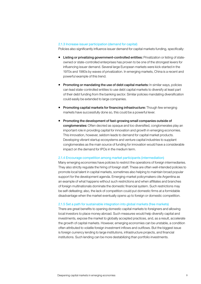# 2.1.3 Increase issuer participation (demand for capital)

Policies also significantly influence issuer demand for capital markets funding, specifically:

- **Listing or privatizing government-controlled entities:** Privatization or listing of stateowned or state-controlled enterprises has proven to be one of the strongest levers for influencing issuer demand. Several large European markets were kick-started in the 1970s and 1980s by waves of privatization. In emerging markets, China is a recent and powerful example of this trend.
- **Promoting or mandating the use of debt capital markets:** In similar ways, policies can lead state-controlled entities to use debt capital markets to diversify at least part of their debt funding from the banking sector. Similar policies mandating diversification could easily be extended to large companies.
- **Promoting capital markets for financing infrastructure:** Though few emerging markets have successfully done so, this could be a powerful lever.
- **Promoting the development of fast-growing small companies outside of** conglomerates: Often decried as opaque and too diversified, conglomerates play an important role in providing capital for innovation and growth in emerging economies. This innovation, however, seldom leads to demand for capital market products. Developing vibrant startup ecosystems and venture capital industries to supplant conglomerates as the main source of funding for innovation would have a considerable impact on the demand for IPOs in the medium term.

#### 2.1.4 Encourage competition among market participants (intermediation)

Many emerging economies have policies to restrict the operations of foreign intermediaries. They also strictly regulate the hiring of foreign staff. These are often well-intended policies to promote local talent in capital markets, sometimes also helping to maintain broad popular support for the development agenda. Emerging-market policymakers cite Argentina as an example of what happens without such restrictions and when affiliates and branches of foreign multinationals dominate the domestic financial system. Such restrictions may be self-defeating; also, the lack of competition could put domestic firms at a formidable disadvantage when the market eventually opens up to foreign or domestic competition.

# 2.1.5 Set a path for sustainable integration into global markets (free markets)

There are great benefits to opening domestic capital markets to foreigners and allowing local investors to place money abroad. Such measures would help diversify capital and investments, expose the market to globally accepted practices, and, as a result, accelerate the growth of capital markets. However, emerging economies can be unstable, a condition often attributed to volatile foreign investment inflows and outflows. But the biggest issue is foreign currency lending to large institutions, infrastructure projects, and financial institutions. Such lending can be more destabilizing than portfolio investments.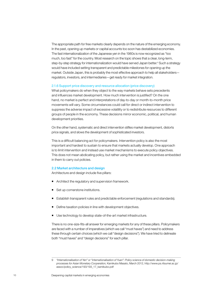The appropriate path for free markets clearly depends on the nature of the emerging economy. In the past, opening up markets or capital accounts too soon has destabilized economies. The fast internationalization of the Japanese yen in the 1980s is now recognized as "too much, too fast" for the country. Most research on the topic shows that a clear, long-term, step-by-step strategy for internationalization would have served Japan better.<sup>9</sup> Such a strategy would have included setting transparent and predictable milestones for opening up the market. Outside Japan, this is probably the most effective approach to help all stakeholders regulators, investors, and intermediaries—get ready for market integration.

## 2.1.6 Support price discovery and resource allocation (price discovery)

What policymakers do when they object to the way markets behave sets precedents and influences market development. How much intervention is justified? On the one hand, no market is perfect and interpretations of day-to-day or month-to-month price movements will vary. Some circumstances could call for direct or indirect intervention to suppress the adverse impact of excessive volatility or to redistribute resources to different groups of people in the economy. These decisions mirror economic, political, and human development priorities.

On the other hand, systematic and direct intervention stifles market development, distorts price signals, and slows the development of sophisticated investors.

This is a difficult balancing act for policymakers. Intervention policy is also the most important and hardest to sustain to ensure that markets actually develop. One approach is to limit intervention and instead use market mechanisms to execute policy objectives. This does not mean abdicating policy, but rather using the market and incentives embedded in them to carry out policies.

# 2.2 Market architecture and design

Architecture and design include five pillars:

- Architect the regulatory and supervision framework.
- Set up cornerstone institutions.
- **E** Establish transparent rules and predictable enforcement (regulations and standards).
- Define taxation policies in line with development objectives.
- **Use technology to develop state-of-the-art market infrastructure.**

There is no one-size-fits-all answer for emerging markets for any of these pillars. Policymakers are faced with a number of imperatives (which we call "must haves") and need to address these through certain choices (which we call "design decisions"). We have tried to delineate both "must haves" and "design decisions" for each pillar.

<sup>9</sup> *"Internationalisation of Yen" or "internationalisation of Yuan": Policy science of domestic decision-making processes for Asian Monetary Cooperation,* Kamikubo Masato, March 2012, http://www.ps.ritsumei.ac.jp/ assoc/policy\_science/193/193\_17\_kamikubo.pdf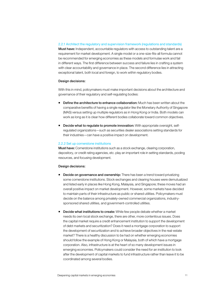2.2.1 Architect the regulatory and supervision framework (regulations and standards) **Must have:** Independent, accountable regulators with access to outstanding talent are a requirement for market development. A single model or a one-size-fits-all formula cannot be recommended for emerging economies as these models and formulae work and fail in different ways. The first difference between success and failure lies in crafting a system with clear accountability and governance in place. The second difference lies in attracting exceptional talent, both local and foreign, to work within regulatory bodies.

#### Design decisions:

With this in mind, policymakers must make important decisions about the architecture and governance of their regulatory and self-regulating bodies:

- **Define the architecture to enhance collaboration:** Much has been written about the comparative benefits of having a single regulator like the Monetary Authority of Singapore (MAS) versus setting up multiple regulators as in Hong Kong or India. Both models can work as long as it is clear how different bodies collaborate toward common objectives.
- Decide what to regulate to promote innovation: With appropriate oversight, selfregulated organizations—such as securities dealer associations setting standards for their industries—can have a positive impact on development.

#### 2.2.2 Set up cornerstone institutions

Must have: Cornerstone institutions such as a stock exchange, clearing corporation, depository, or credit rating agencies, etc. play an important role in setting standards, pooling resources, and focusing development.

#### Design decisions:

- **Decide on governance and ownership:** There has been a trend toward privatizing some cornerstone institutions. Stock exchanges and clearing houses were demutualized and listed early in places like Hong Kong, Malaysia, and Singapore; these moves had an overall positive impact on market development. However, some markets have decided to maintain parts of their infrastructure as public or shared utilities. Policymakers must decide on the balance among privately-owned commercial organizations, industrysponsored shared utilities, and government-controlled utilities.
- **Decide what institutions to create:** While few people debate whether a market needs its own local stock exchange, there are other, more contentious issues. Does the capital market require a credit enhancement institution to support the development of debt markets and securitization? Does it need a mortgage corporation to support the development of securitization and to achieve broader objectives in the real-estate market? There is a healthy discussion to be had on whether emerging economies should follow the example of Hong Kong or Malaysia, both of which have a mortgage corporation. Also, infrastructure is at the heart of so many development issues in emerging economies. Policymakers could consider the need for an institution to look after the development of capital markets to fund infrastructure rather than leave it to be coordinated among several bodies.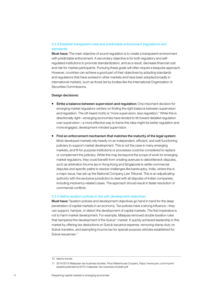# 2.2.3 Establish transparent rules and predictable enforcement (regulations and standards)

**Must have:** The main objective of sound regulation is to create a transparent environment with predictable enforcement. A secondary objective is for both regulatory and selfregulated institutions to promote standardization, and as a result, decrease financial cost and risk for market participants. Pursuing these goals will often require a bespoke approach. However, countries can achieve a good part of their objectives by adopting standards and regulations that have worked in other markets and have been adopted broadly in international markets, such as those set by bodies like the International Organization of Securities Commissions.

# Design decisions:

- **Strike a balance between supervision and regulation:** One important decision for emerging market regulators centers on finding the right balance between supervision and regulation. The oft-heard motto is "more supervision, less regulation." While this is directionally right—emerging economies have tended to tilt toward detailed regulation over supervision—a more effective way to frame this idea might be better regulation and more engaged, development-minded supervision.
- **Find an enforcement mechanism that matches the maturity of the legal system:** Most developed markets rely heavily on an independent, efficient, and well-functioning judiciary to support market development. This is not the case in many emerging markets, and fit-for-purpose institutions or processes could be considered to replace or complement the judiciary. While this may be beyond the scope of work for emerging market regulators, they could benefit from creating avenues to debottleneck disputes, such as arbitration forums (as in Hong Kong and Singapore) to settle commercial disputes and specific paths to resolve challenges like bankruptcy. India, where this is a major issue, has set up the National Company Law Tribunal. This is an adjudicating authority with the exclusive jurisdiction to deal with all disputes of Indian companies, including insolvency-related cases. The approach should result in faster resolution of commercial conflicts.

### 2.2.4 Define taxation policies in line with development objectives

Must have: Taxation policies and development objectives go hand in hand for the deep penetration of capital markets in an economy. Tax policies have a strong influence—they can support, hamper, or distort the development of capital markets. The first imperative is not to harm market development. For example, Malaysia removed double taxation rules that hampered the development of the Sukuk<sup>10</sup> market. It quickly achieved leadership in this market by offering tax deductions on Sukuk issuance expense, removing stamp duty on Sukuk transfers, and exempting income tax for special-purpose vehicles established for Sukuk issuances.11

<sup>10</sup> Islamic bonds

<sup>11</sup> 2014/2015 Malaysian tax business booklet, Price Waterhouse Coopers, https://www.pwc.com/my/en/ assets/publications/2015-malaysian-tax-business-booklet.pdf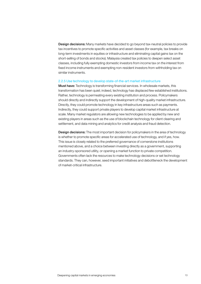**Design decisions:** Many markets have decided to go beyond tax-neutral policies to provide tax incentives to promote specific activities and asset classes (for example, tax breaks on long-term investments in equities or infrastructure and eliminating capital gains tax on the short-selling of bonds and stocks). Malaysia created tax policies to deepen select asset classes, including fully exempting domestic investors from income tax on the interest from fixed income instruments and exempting non-resident investors from withholding tax on similar instruments.

#### 2.2.5 Use technology to develop state-of-the-art market infrastructure

Must have: Technology is transforming financial services. In wholesale markets, this transformation has been quiet; indeed, technology has displaced few established institutions. Rather, technology is permeating every existing institution and process. Policymakers should directly and indirectly support the development of high-quality market infrastructure. Directly, they could promote technology in key infrastructure areas such as payments. Indirectly, they could support private players to develop capital market infrastructure at scale. Many market regulators are allowing new technologies to be applied by new and existing players in areas such as the use of blockchain technology for client clearing and settlement, and data mining and analytics for credit analysis and fraud detection.

**Design decisions:** The most important decision for policymakers in the area of technology is whether to promote specific areas for accelerated use of technology, and if yes, how. This issue is closely related to the preferred governance of cornerstone institutions mentioned above, and a choice between investing directly as a government, supporting an industry-sponsored utility, or opening a market function to private competition. Governments often lack the resources to make technology decisions or set technology standards. They can, however, seed important initiatives and debottleneck the development of market-critical infrastructure.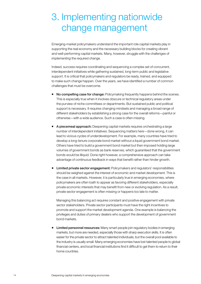# <span id="page-13-0"></span>3. Implementing nationwide change management

Emerging-market policymakers understand the important role capital markets play in supporting the real economy and the necessary building blocks for creating vibrant and well-performing capital markets. Many, however, struggle with the challenges of *implementing* the required change.

Indeed, success requires coordinating and sequencing a complex set of concurrent, interdependent initiatives while gathering sustained, long-term public and legislative support. It is critical that policymakers and regulators be ready, trained, and equipped to make such change happen. Over the years, we have identified a number of common challenges that must be overcome.

- No compelling case for change: Policymaking frequently happens behind the scenes. This is especially true when it involves obscure or technical regulatory areas under the purview of niche committees or departments. But sustained public and political support is necessary. It requires changing mindsets and managing a broad range of different stakeholders by establishing a strong case for the overall reforms—painful or otherwise—with a wide audience. Such a case is often missing.
- A piecemeal approach: Deepening capital markets requires orchestrating a large number of interdependent initiatives. Sequencing matters here—done wrong, it can lead to vicious cycles of underdevelopment. For example, many countries have tried to develop a long-tenure corporate bond market without a liquid government bond market. Others have tried to build a government bond market but then imposed holding large volumes of government bonds as bank reserves, which guaranteed that the government bonds would be illiquid. Done right however, a comprehensive approach can take advantage of continuous feedback in ways that benefit rather than hinder growth.
- **Limited private sector engagement:** Policymakers and regulators' responsibilities should be weighed against the interest of economic and market development. This is the case in all markets. However, it is particularly true in emerging economies, where policymakers are often loath to appear as favoring different stakeholders, especially private economic interests that may benefit from new or evolving regulation. As a result, private sector engagement is often missing or happens too late to matter.

Managing this balancing act requires constant and positive engagement with private sector stakeholders. Private sector participants must have the right incentives to promote and support the market development agenda. One example is balancing the privileges and duties of primary dealers who support the development of government bond markets.

**Limited personnel resources:** Many smart people join regulatory bodies in emerging markets, but more are needed, especially those with sharp execution skills. It is often easier for the private sector to attract talented individuals, but the overall pool available to the industry is usually small. Many emerging economies have lost talented people to global financial centers, and local financial institutions find it difficult to get them to return to their home countries.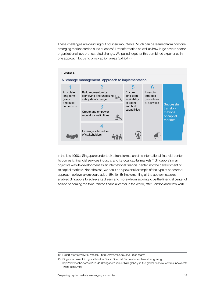These challenges are daunting but not insurmountable. Much can be learned from how one emerging market carried out a successful transformation as well as how large private sector organizations have orchestrated change. We pulled together this combined experience in one approach focusing on six action areas (Exhibit 4).

# Exhibit 4



# A "change management" approach to implementation

In the late 1990s, Singapore undertook a transformation of its international financial center, its domestic financial services industry, and its local capital markets.<sup>12</sup> Singapore's main objective was its development as an international financial center, not the development of its capital markets. Nonetheless, we see it as a powerful example of the type of concerted approach policymakers could adopt (Exhibit 5). Implementing all the above measures enabled Singapore to achieve its dream and more—from aspiring to be the financial center of Asia to becoming the third-ranked financial center in the world, after London and New York.<sup>13</sup>

<sup>12</sup> Expert interviews; MAS website—http://www.mas.gov.sg/; Press search

<sup>13</sup> Singapore ranks third globally in the Global Financial Centres Index, beats Hong Kong, http://www.cnbc.com/2016/04/08/singapore-ranks-third-globally-in-the-global-financial-centres-indexbeats -hong-kong.html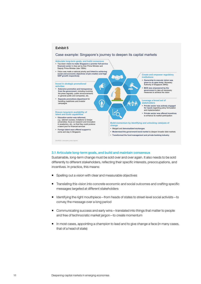

# 3.1 Articulate long-term goals, and build and maintain consensus

Sustainable, long-term change must be sold over and over again. It also needs to be sold differently to different stakeholders, reflecting their specific interests, preoccupations, and incentives. In practice, this means:

- Spelling out a vision with clear and measurable objectives
- **Translating this vision into concrete economic and social outcomes and crafting specific** messages targeted at different stakeholders
- Identifying the right mouthpiece—from heads of states to street-level social activists—to convey the message over a long period
- Communicating success and early wins—translated into things that matter to people and free of technocratic market jargon—to create momentum
- In most cases, appointing a champion to lead and to give change a face (in many cases, that of a head of state)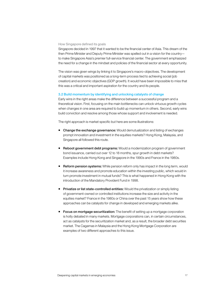#### How Singapore defined its goals

Singapore decided in 1997 that it wanted to be the financial center of Asia. This dream of the then Prime Minister and Deputy Prime Minister was spelled out in a vision for the country to make Singapore Asia's premier full-service financial center. The government emphasized the need for a change in the mindset and policies of the financial sector at every opportunity.

The vision was given wings by linking it to Singapore's macro-objectives. The development of capital markets was positioned as a long-term process tied to achieving social (job creation) and economic objectives (GDP growth). It would have been impossible to miss that this was a critical and important aspiration for the country and its people.

# 3.2 Build momentum by identifying and unlocking catalysts of change

Early wins in the right areas make the difference between a successful program and a theoretical vision. First, focusing on the main bottlenecks can unlock virtuous growth cycles when changes in one area are required to build up momentum in others. Second, early wins build conviction and resolve among those whose support and involvement is needed.

The right approach is market specific but here are some illustrations:

- **Change the exchange governance:** Would demutualization and listing of exchanges prompt innovation and investment in the equities markets? Hong Kong, Malaysia, and Singapore all followed this route.
- Reboot government debt programs: Would a modernization program of government bond issuance, carried out over 12 to 18 months, spur growth in debt markets? Examples include Hong Kong and Singapore in the 1990s and France in the 1980s.
- **Reform pension systems:** While pension reform only has impact in the long term, would it increase awareness and promote education within the investing public, which would in turn promote investment in mutual funds? This is what happened in Hong Kong with the introduction of the Mandatory Provident Fund in 1998.
- **Privatize or list state-controlled entities:** Would the privatization or simply listing of government-owned or controlled institutions increase the size and activity in the equities market? France in the 1980s or China over the past 15 years show how these approaches can be catalysts for change in developed and emerging markets alike.
- **Focus on mortgage securitization:** The benefit of setting up a mortgage corporation is hotly debated in many markets. Mortgage corporations can, in certain circumstances, act as catalysts for the securitization market and, as a result, the broader debt securities market. The Cagamas in Malaysia and the Hong Kong Mortgage Corporation are examples of two different approaches to this issue.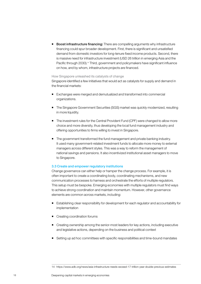Boost infrastructure financing: There are compelling arguments why infrastructure financing could spur broader development. First, there is significant and unsatisfied demand from domestic investors for long-tenure fixed income products. Second, there is massive need for infrastructure investment (USD 26 trillion in emerging Asia and the Pacific through 2030).<sup>14</sup> Third, government and policymakers have significant influence on how, and by whom, infrastructure projects are financed.

# How Singapore unleashed its catalysts of change

Singapore identified a few initiatives that would act as catalysts for supply and demand in the financial markets:

- Exchanges were merged and demutualized and transformed into commercial organizations.
- The Singapore Government Securities (SGS) market was quickly modernized, resulting in more liquidity.
- The investment rules for the Central Provident Fund (CPF) were changed to allow more choice and more diversity, thus developing the local fund management industry and offering opportunities to firms willing to invest in Singapore.
- The government transformed the fund management and private banking industry. It used many government-related investment funds to allocate more money to external managers across different styles. This was a way to reform the management of national savings and pensions. It also incentivized institutional asset managers to move to Singapore.

# 3.3 Create and empower regulatory institutions

Change governance can either help or hamper the change process. For example, it is often important to create a coordinating body, coordinating mechanisms, and new communication processes to harness and orchestrate the efforts of multiple regulators. This setup must be bespoke. Emerging economies with multiple regulators must find ways to achieve strong coordination and maintain momentum. However, other governance elements are common across markets, including:

- Establishing clear responsibility for development for each regulator and accountability for implementation
- Creating coordination forums
- Creating ownership among the senior-most leaders for key actions, including executive and legislative actions, depending on the business and political context
- Setting up ad hoc committees with specific responsibilities and time-bound mandates

<sup>14</sup> https://www.adb.org/news/asia-infrastructure-needs-exceed-17-trillion-year-double-previous-estimates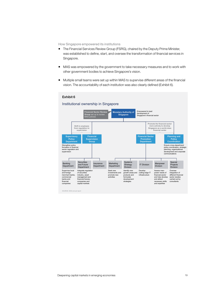How Singapore empowered its institutions

- **The Financial Services Review Group (FSRG), chaired by the Deputy Prime Minister,** was established to define, start, and oversee the transformation of financial services in Singapore.
- MAS was empowered by the government to take necessary measures and to work with other government bodies to achieve Singapore's vision.
- **Multiple small teams were set up within MAS to supervise different areas of the financial** vision. The accountability of each institution was also clearly defined (Exhibit 6).

# Exhibit 6

#### Institutional ownership in Singapore



SOURCE: MAS annual report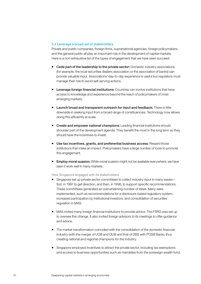## 3.4 Leverage a broad set of stakeholders

Private and public companies, foreign firms, supranational agencies, foreign policymakers, and the general public all play an important role in the development of capital markets. Here is a non-exhaustive list of the types of engagement that we have seen succeed:

- Cede part of the leadership to the private sector: Domestic industry associations (for example, the local securities dealers association or the association of banks) can provide valuable input. Associations' day-to-day experience is useful but regulators must manage their role to avoid self-serving actions.
- **Leverage foreign financial institutions:** Countries can involve institutions that have access to knowledge and experience beyond the reach of policymakers of most emerging markets.
- **E** Launch broad and transparent outreach for input and feedback: There is little downside in seeking input from a broad range of constituencies. Technology now allows doing this efficiently at scale.
- **Create and empower national champions:** Leading financial institutions should shoulder part of the development agenda. They benefit the most in the long term so they should have the incentives to invest.
- **Use tax incentives, grants, and preferential business access:** Reward those institutions that make an impact. Policymakers have a large number of tools to promote this engagement.
- **Employ moral suasion:** While moral suasion might not be available everywhere, we have seen it work well in many markets.

# How Singapore engaged with its stakeholders

- Singapore set up private sector committees to collect industry input in many waves first, in 1997 to get direction, and then, in 1998, to support specific recommendations. These committees generated an overwhelming number of ideas. Many were implemented, such as recommendations for a disclosure-based regulatory system, increased participation by institutional investors, and consolidation of securities regulation in MAS.
- MAS invited many foreign financial institutions to provide advice. The FSRG was set up to oversee this change. It also invited foreign advisors to its meetings to offer guidance and advice.
- The market transformation coincided with the consolidation of the domestic financial industry (with the merger of UOB and OUB and that of DBS with POSB Bank), thus creating national and regional champions for the industry.
- **Singapore employed incentives to attract the private sector, including tax exemptions** and access to business opportunities such as mandates from the sovereign wealth fund.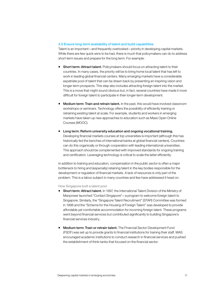# 3.5 Ensure long-term availability of talent and build capabilities

Talent is an important—and frequently overlooked—priority in developing capital markets. While there are few quick wins to be had, there is much that policymakers can do to address short-term issues and prepare for the long term. For example:

- **Short term: Attract talent.** Policymakers should focus on attracting talent to their countries. In many cases, the priority will be to bring home local talent that has left to work in leading global financial centers. Many emerging markets have a considerable expatriate pool of talent that can be drawn back by presenting an inspiring vision and longer-term prospects. This step also includes attracting foreign talent into the market. This is a move that might sound obvious but, in fact, several countries have made it more difficult for foreign talent to participate in their longer-term development.
- **Medium term: Train and retrain talent.** In the past, this would have involved classroom workshops or seminars. Technology offers the possibility of efficiently training or retraining existing talent at scale. For example, students and workers in emerging markets have taken up new approaches to education such as Mass Open Online Courses (MOOC).
- **Long term: Reform university education and ongoing vocational training.** Developing financial markets courses at top universities is important (although this has historically fed the benches of international banks at global financial centers). Countries can do this organically or through cooperation with leading international universities. This approach should be complemented with improved standards for ongoing training and certification. Leveraging technology is critical to scale the latter efficiently.

In addition to training and education, compensation in the public sector is often a major bottleneck to hiring and (especially) retaining talent in the key bodies responsible for the development or regulation of financial markets. A lack of resources is only part of the problem. This is a taboo subject in many countries and few have addressed it head on.

# How Singapore built a talent pool

- **Short term: Attract talent.** In 1997, the International Talent Division of the Ministry of Manpower launched "Contact Singapore"—a program to welcome foreign talent to Singapore. Similarly, the "Singapore Talent Recruitment" (STAR) Committee was formed in 1998 and the "Scheme for the Housing of Foreign Talent" was developed to provide affordable yet comfortable accommodation for incoming foreign talent. These programs went beyond financial services but contributed significantly to building Singapore's financial services industry.
- **Medium term: Train or retrain talent.** The Financial Sector Development Fund (FSDF) was set up to provide grants to financial institutions for training their staff. MAS encouraged academic institutions to conduct research in financial services and pushed the establishment of think-tanks that focused on the financial sector.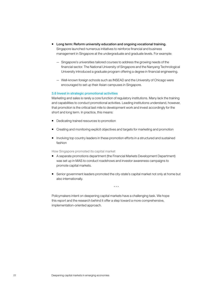- **Long term: Reform university education and ongoing vocational training.** Singapore launched numerous initiatives to reinforce financial and business management in Singapore at the undergraduate and graduate levels. For example:
	- Singapore's universities tailored courses to address the growing needs of the financial sector. The National University of Singapore and the Nanyang Technological University introduced a graduate program offering a degree in financial engineering.
	- Well-known foreign schools such as INSEAD and the University of Chicago were encouraged to set up their Asian campuses in Singapore.

# 3.6 Invest in strategic promotional activities

Marketing and sales is rarely a core function of regulatory institutions. Many lack the training and capabilities to conduct promotional activities. Leading institutions understand, however, that promotion is the critical last mile to development work and invest accordingly for the short and long term. In practice, this means:

- Dedicating trained resources to promotion
- **E** Creating and monitoring explicit objectives and targets for marketing and promotion
- Involving top country leaders in these promotion efforts in a structured and sustained fashion

# How Singapore promoted its capital market

- A separate promotions department (the Financial Markets Development Department) was set up in MAS to conduct roadshows and investor awareness campaigns to promote capital markets.
- Senior government leaders promoted the city-state's capital market not only at home but also internationally.

\* \* \*

Policymakers intent on deepening capital markets have a challenging task. We hope this report and the research behind it offer a step toward a more comprehensive, implementation-oriented approach.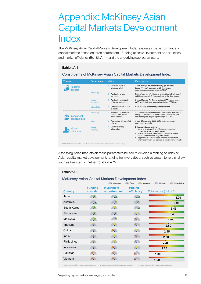# <span id="page-22-0"></span>Appendix: McKinsey Asian Capital Markets Development Index

The McKinsey Asian Capital Markets Development Index evaluates the performance of capital markets based on three parameters—funding at scale, investment opportunities, and market efficiency (Exhibit A.1)—and the underlying sub-parameters.

# Exhibit A.1

# Constituents of McKinsey Asian Capital Markets Development Index

| <b>Theme</b>                | Sub-theme                      | <b>Metric</b>                                                            | <b>Description</b>                                                                                                                                                                                                                                                                                                                                 |
|-----------------------------|--------------------------------|--------------------------------------------------------------------------|----------------------------------------------------------------------------------------------------------------------------------------------------------------------------------------------------------------------------------------------------------------------------------------------------------------------------------------------------|
| <b>Funding</b><br>at scale  |                                | Financial depth of<br>primary market                                     | 3-year average issuances of equity, government<br>bonds (>1 year), corporate and FI bonds, and<br>securitized products, as percent of GDP                                                                                                                                                                                                          |
|                             | Availability                   | Availability of long-<br>term debt                                       | Ratio of long-term (>10 years) to short-term (1 to 3 years)<br>debt issuances, vis-à-vis overall size of the debt market                                                                                                                                                                                                                           |
|                             | <b>Diversity</b><br>of sources | Availability and stability<br>3<br>of foreign investment                 | Stock of Foreign Portfolio Investment (FPI) as percent of<br>GDP, vis-à-vis 5-year standard deviation of FPI flows                                                                                                                                                                                                                                 |
|                             | Affordability                  | Competitiveness of cost<br>of capital                                    | Cost of equity and debt adjusted for inflation                                                                                                                                                                                                                                                                                                     |
| nvestment<br>opportunities  | Availability                   | Availability of investment<br>5<br>opportunities across<br>asset classes | Stock of all capital market assets (comprising outstanding<br>equity, corporate and FI bonds, government bonds, and<br>securitized products) as a percentage of GDP                                                                                                                                                                                |
|                             | Return                         | Appropriate risk-adjusted<br>6<br>returns                                | 7-Year Sharpe ratio, 2008-2015, for investments in<br>cash equity products                                                                                                                                                                                                                                                                         |
| <b>Market</b><br>efficiency | Pricing<br>efficiency          | Quality of pricing<br>information                                        | Efficiency index comprising: <sup>1</sup><br>Long-term memory/Hurst Exponent, measuring<br>correlation in the long-term series<br>Fractal dimension, measuring correlation in shorter<br>fractions of the earlier long-term series<br>Approximate entropy, measuring the availability of<br>information which can be used to predict market trends |

Assessing Asian markets on these parameters helped to develop a ranking or index of Asian capital market development, ranging from very deep, such as Japan, to very shallow, such as Pakistan or Vietnam (Exhibit A.2).

# Exhibit A.2

# McKinsey Asian Capital Markets Development Index

|                |                                         | Very deep                                       | $\bigtriangledown$ Deep<br>Moderate       | Shallow<br>Very shallow       |
|----------------|-----------------------------------------|-------------------------------------------------|-------------------------------------------|-------------------------------|
| <b>Country</b> | <b>Funding</b><br>at scale <sup>1</sup> | <b>Investment</b><br>opportunities <sup>2</sup> | <b>Pricing</b><br>efficiency <sup>3</sup> | <b>Total score (out of 5)</b> |
| Japan          | <b>Signal</b>                           | فسيعد                                           | <b>Single Service</b>                     | 4.00                          |
| Australia      | <b>Contract Contract Contract</b>       | <b>PA</b>                                       | <b>PA</b>                                 | 3.95                          |
| South Korea    | <b>SP</b>                               | AP.                                             | <b>Contract Contract Contract</b>         | 3.45                          |
| Singapore      | <b>SP</b>                               | <b>AP</b>                                       | AQ.                                       | 3.40                          |
| Malaysia       | <b>SP</b>                               | <b>SP</b>                                       |                                           | 3.25                          |
| Thailand       | AD.                                     | AP.                                             | <b>A</b>                                  | 2.80                          |
| China          | <b>AIA</b>                              |                                                 | <b>AP</b>                                 | 2.45                          |
| India          | AQ.                                     | AP.                                             | <b>A</b>                                  | 2.30                          |
| Philippines    | <b>AP</b>                               |                                                 |                                           | 2.25                          |
| Indonesia      | AP.                                     | <b>A</b>                                        | AP.                                       | 2.20                          |
| Pakistan       |                                         |                                                 |                                           | 1.30                          |
| Vietnam        |                                         |                                                 |                                           | 1.20                          |

ed: 40% while arriving at total score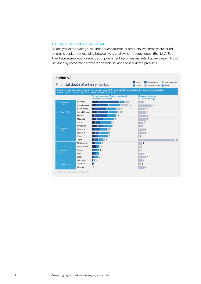# 1. Financial depth of primary market

An analysis of the average issuances of capital market products over three years found emerging capital markets lying between very shallow to moderate depth (Exhibit A.3). They have some depth in equity and government securities markets, but are weak in bond issuance by corporate borrowers and lack issuance of securitized products.

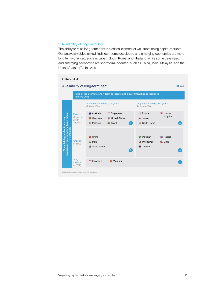# 2. Availability of long-term debt

The ability to raise long-term debt is a critical element of well-functioning capital markets. Our analysis yielded mixed findings—some developed and emerging economies are more long term–oriented, such as Japan, South Korea, and Thailand, while some developed and emerging economies are short term–oriented, such as China, India, Malaysia, and the United States. (Exhibit A.4).

# Exhibit A.4

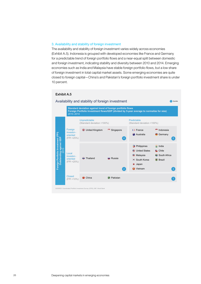# 3. Availability and stability of foreign investment

The availability and stability of foreign investment varies widely across economies (Exhibit A.5). Indonesia is grouped with developed economies like France and Germany for a predictable trend of foreign portfolio flows and a near-equal split between domestic and foreign investment, indicating stability and diversity between 2010 and 2014. Emerging economies such as India and Malaysia have stable foreign portfolio flows, but a low share of foreign investment in total capital market assets. Some emerging economies are quite closed to foreign capital—China's and Pakistan's foreign portfolio investment share is under 10 percent.



# Exhibit A.5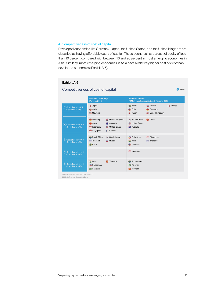# 4. Competitiveness of cost of capital

Developed economies like Germany, Japan, the United States, and the United Kingdom are classified as having affordable costs of capital. These countries have a cost of equity of less than 10 percent compared with between 10 and 20 percent in most emerging economies in Asia. Similarly, most emerging economies in Asia have a relatively higher cost of debt than developed economies (Exhibit A.6).

#### Competitiveness of cost of capital **Real cost of equity1** Percent, 2015 **Real cost of debt1** YTM of safest corporate bond, Percent, 2015 Cost of equity <10% Cost of debt <2% Singapore | France China **Australia** Australia United States Germany Victoria United Kingdom South Korea China **Indonesia Educational Contracts Australia** Cost of equity <10% Cost of debt <3% South Africa South Korea Philippines Singapore **C** Brazil Malaysia Thailand Russia India Thailand Cost of equity <8% Cost of debt <1% **Malaysia** Japan United Kingdom Chile Chile Chile Germany **Japan Brazil Russia France** Cost of equity <14% Cost of debt <4% **Indonesia** Cost of equity >14% Cost of debt >4% 1 **India** Vietnam South Africa **Philippines Philippines Pakistan Communistan Vietnam Vietnam Vietnam Vietnam Vietnam Vietnam Vietnam Vietnam Vietnam Vietnam Vietnam Vietnam Vietnam Vietnam Vietnam Vietnam Vietnam Vietnam Vietnam Vietnam Vietnam Vietnam Vietnam Vietnam Vietnam Vietnam V** 1 Adjusted using the Consumer Price Index (CPI) SOURCE: Thomson Eikon; World Bank **X** Quintile 3 5 Exhibit A.6

#### Deepening capital markets in emerging economies 27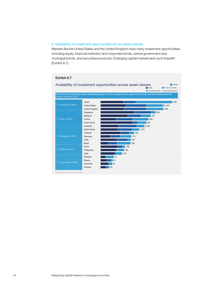# 5. Availability of investment opportunities across asset classes

Markets like the United States and the United Kingdom have many investment opportunities, including equity, financial institution and corporate bonds, central government and municipal bonds, and securitized products. Emerging capital markets lack such breadth (Exhibit A.7).

# Exhibit A.7



SOURCE: Central Bank; World Bank; IMF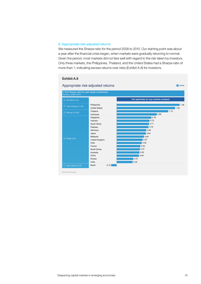# 6. Appropriate risk-adjusted returns

We measured the Sharpe ratio for the period 2008 to 2015. Our starting point was about a year after the financial crisis began, when markets were gradually returning to normal. Given the period, most markets did not fare well with regard to the risk taken by investors. Only three markets, the Philippines, Thailand, and the United States had a Sharpe ratio of more than 1, indicating excess returns over risks (Exhibit A.8) for investors.

# Exhibit A.8



SOURCE: Bloomberg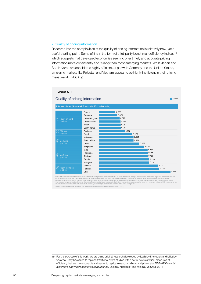# 7. Quality of pricing information

Research into the complexities of the quality of pricing information is relatively new, yet a useful starting point. Some of it is in the form of third-party benchmark efficiency indices,<sup>15</sup> which suggests that developed economies seem to offer timely and accurate pricing information more consistently and reliably than most emerging markets. While Japan and South Korea are considered highly efficient, at par with Germany and the United States, emerging markets like Pakistan and Vietnam appear to be highly inefficient in their pricing measures (Exhibit A.9).

# Exhibit A.9

#### 0.271 0.228  $|0.224|$ 0.191 0.190 0.185 0.185 0.184 0.170  $0.153$ 0.131 0.131 0.126 0.098 0.083  $0.083$ 0.082 0.079 0.070 0.063 China Russia Singapore Vietnam Malaysia South Africa Indonesia Thailand Pakistan Philippines India Australia Brazil South Korea France United Kingdom Germany United States Japan Chile **Efficiency index (Kristoufek & Vosvrda) 2011 index rating** Highly efficient (<0.090) 5 Highly inefficient (>0.210) 1 Moderate (<0.170) 3 Efficient (<0.130) 4 2) Inefficient  $(50.210)$

**X** Quintile

Quality of pricing information

NOTE: Efficiency is measured according to the Efficient Market Hypothesis which states that in an efficiency interaction and higher memory emails are an market are random and higher returns occur by chance<br>(measuring corre

SOURCE: FINMAP Financial Distortions and Macroeconomic Performance; Kristoufek and Vosvrda (2014)

<sup>15</sup> For the purpose of this work, we are using original research developed by Ladislav Kristoufek and Miloslav Vosvrda. They have tried to replace traditional event studies with a set of new statistical measures of efficiency that are more scalable and easier to replicate using only historical price data. *FINMAP Financial distortions and macroeconomic performance,* Ladislav Kristoufek and Miloslav Vosvrda, 2014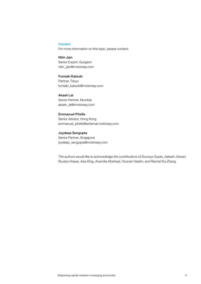# **Contact**

For more information on this topic, please contact:

Nitin Jain Senior Expert, Gurgaon nitin\_jain@mckinsey.com

Fumiaki Katsuki Partner, Tokyo fumiaki\_katsuki@mckinsey.com

Akash Lal Senior Partner, Mumbai akash\_lal@mckinsey.com

Emmanuel Pitsilis Senior Advisor, Hong Kong emmanuel\_pitsilis@external.mckinsey.com

Joydeep Sengupta Senior Partner, Singapore joydeep\_sengupta@mckinsey.com

*The authors would like to acknowledge the contributions of Soumya Gupta, Aakash Jhaveri, Ryutaro Kawai, Aisa King, Anamika Mukharji, Noorain Nadim, and Rachel Rui Zhang.*